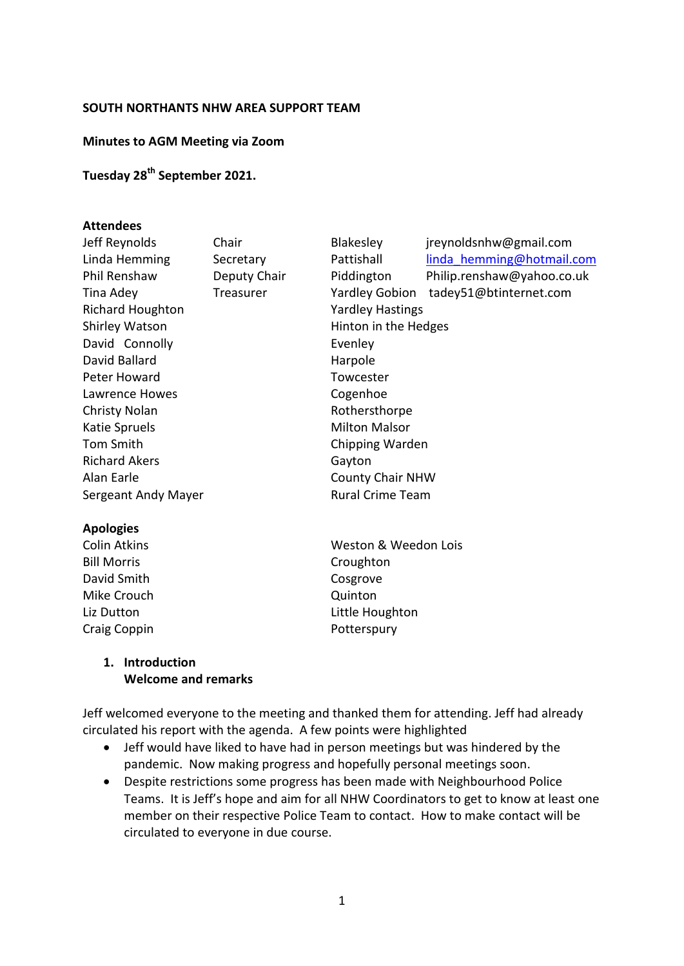#### **SOUTH NORTHANTS NHW AREA SUPPORT TEAM**

#### **Minutes to AGM Meeting via Zoom**

# **Tuesday 28th September 2021.**

#### **Attendees**

| Jeff Reynolds           | Chair        | <b>Blakesley</b>        | jreynoldsnhw@gmail.com     |
|-------------------------|--------------|-------------------------|----------------------------|
| Linda Hemming           | Secretary    | Pattishall              | linda hemming@hotmail.com  |
| Phil Renshaw            | Deputy Chair | Piddington              | Philip.renshaw@yahoo.co.uk |
| Tina Adey               | Treasurer    | <b>Yardley Gobion</b>   | tadey51@btinternet.com     |
| <b>Richard Houghton</b> |              | <b>Yardley Hastings</b> |                            |
| <b>Shirley Watson</b>   |              | Hinton in the Hedges    |                            |
| David Connolly          |              | Evenley                 |                            |
| David Ballard           |              | Harpole                 |                            |
| Peter Howard            |              | Towcester               |                            |
| Lawrence Howes          |              | Cogenhoe                |                            |
| <b>Christy Nolan</b>    |              | Rothersthorpe           |                            |
| Katie Spruels           |              | <b>Milton Malsor</b>    |                            |
| Tom Smith               |              | Chipping Warden         |                            |
| <b>Richard Akers</b>    |              | Gayton                  |                            |
| Alan Earle              |              | <b>County Chair NHW</b> |                            |
| Sergeant Andy Mayer     |              | <b>Rural Crime Team</b> |                            |
|                         |              |                         |                            |

#### **Apologies**

Bill Morris Croughton David Smith Cosgrove Mike Crouch **Communist Communist Communist Communist Communist Communist Communist Communist Communist Communist Communist Communist Communist Communist Communist Communist Communist Communist Communist Communist Communist** Craig Coppin **Potterspury** 

Colin Atkins **Weston & Weedon Lois** Weston & Weedon Lois Liz Dutton Little Houghton

#### **1. Introduction Welcome and remarks**

Jeff welcomed everyone to the meeting and thanked them for attending. Jeff had already circulated his report with the agenda. A few points were highlighted

- Jeff would have liked to have had in person meetings but was hindered by the pandemic. Now making progress and hopefully personal meetings soon.
- Despite restrictions some progress has been made with Neighbourhood Police Teams. It is Jeff's hope and aim for all NHW Coordinators to get to know at least one member on their respective Police Team to contact. How to make contact will be circulated to everyone in due course.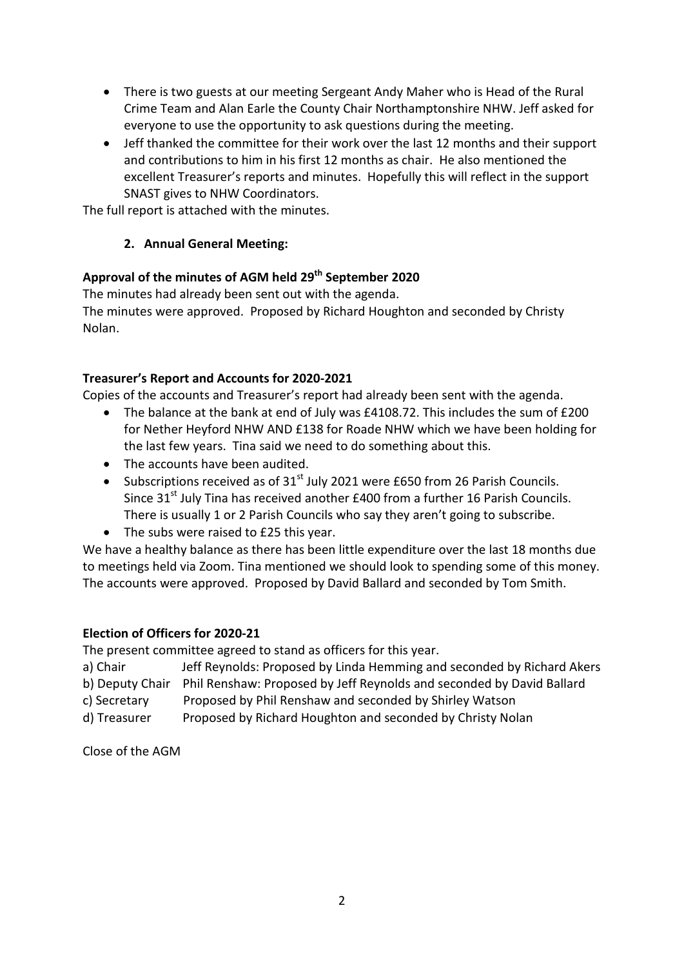- There is two guests at our meeting Sergeant Andy Maher who is Head of the Rural Crime Team and Alan Earle the County Chair Northamptonshire NHW. Jeff asked for everyone to use the opportunity to ask questions during the meeting.
- Jeff thanked the committee for their work over the last 12 months and their support and contributions to him in his first 12 months as chair. He also mentioned the excellent Treasurer's reports and minutes. Hopefully this will reflect in the support SNAST gives to NHW Coordinators.

The full report is attached with the minutes.

### **2. Annual General Meeting:**

# **Approval of the minutes of AGM held 29th September 2020**

The minutes had already been sent out with the agenda. The minutes were approved. Proposed by Richard Houghton and seconded by Christy Nolan.

### **Treasurer's Report and Accounts for 2020-2021**

Copies of the accounts and Treasurer's report had already been sent with the agenda.

- The balance at the bank at end of July was £4108.72. This includes the sum of £200 for Nether Heyford NHW AND £138 for Roade NHW which we have been holding for the last few years. Tina said we need to do something about this.
- The accounts have been audited.
- Subscriptions received as of  $31<sup>st</sup>$  July 2021 were £650 from 26 Parish Councils. Since  $31<sup>st</sup>$  July Tina has received another £400 from a further 16 Parish Councils. There is usually 1 or 2 Parish Councils who say they aren't going to subscribe.
- The subs were raised to £25 this year.

We have a healthy balance as there has been little expenditure over the last 18 months due to meetings held via Zoom. Tina mentioned we should look to spending some of this money. The accounts were approved. Proposed by David Ballard and seconded by Tom Smith.

### **Election of Officers for 2020-21**

The present committee agreed to stand as officers for this year.

- a) ChairJeff Reynolds: Proposed by Linda Hemming and seconded by Richard Akers
- b) Deputy Chair Phil Renshaw: Proposed by Jeff Reynolds and seconded by David Ballard
- c) Secretary Proposed by Phil Renshaw and seconded by Shirley Watson
- d) Treasurer Proposed by Richard Houghton and seconded by Christy Nolan

Close of the AGM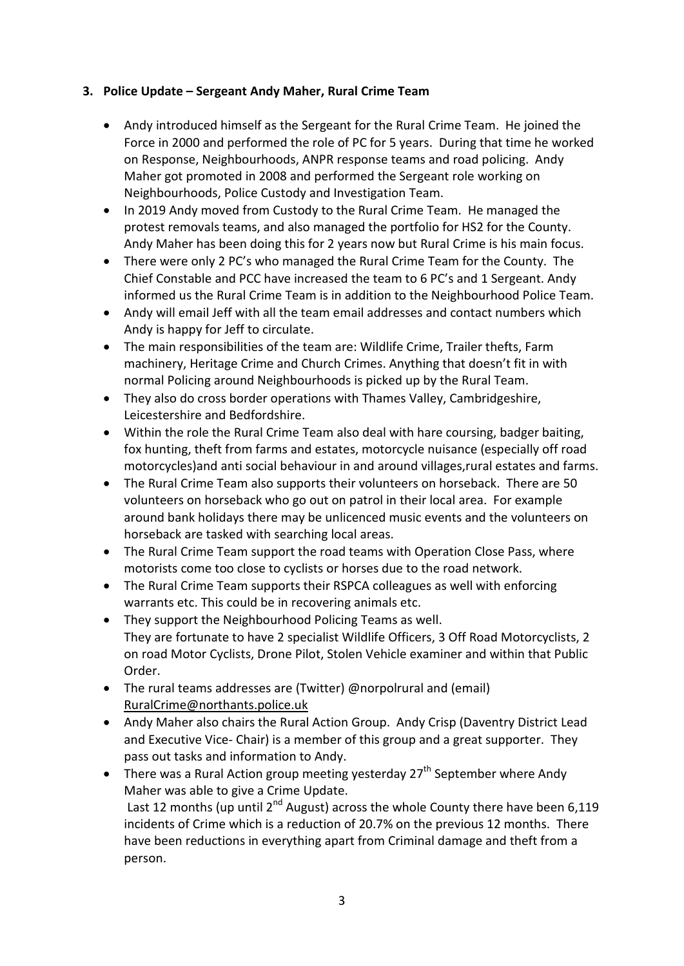## **3. Police Update – Sergeant Andy Maher, Rural Crime Team**

- Andy introduced himself as the Sergeant for the Rural Crime Team. He joined the Force in 2000 and performed the role of PC for 5 years. During that time he worked on Response, Neighbourhoods, ANPR response teams and road policing. Andy Maher got promoted in 2008 and performed the Sergeant role working on Neighbourhoods, Police Custody and Investigation Team.
- In 2019 Andy moved from Custody to the Rural Crime Team. He managed the protest removals teams, and also managed the portfolio for HS2 for the County. Andy Maher has been doing this for 2 years now but Rural Crime is his main focus.
- There were only 2 PC's who managed the Rural Crime Team for the County. The Chief Constable and PCC have increased the team to 6 PC's and 1 Sergeant. Andy informed us the Rural Crime Team is in addition to the Neighbourhood Police Team.
- Andy will email Jeff with all the team email addresses and contact numbers which Andy is happy for Jeff to circulate.
- The main responsibilities of the team are: Wildlife Crime, Trailer thefts, Farm machinery, Heritage Crime and Church Crimes. Anything that doesn't fit in with normal Policing around Neighbourhoods is picked up by the Rural Team.
- They also do cross border operations with Thames Valley, Cambridgeshire, Leicestershire and Bedfordshire.
- Within the role the Rural Crime Team also deal with hare coursing, badger baiting, fox hunting, theft from farms and estates, motorcycle nuisance (especially off road motorcycles)and anti social behaviour in and around villages,rural estates and farms.
- The Rural Crime Team also supports their volunteers on horseback. There are 50 volunteers on horseback who go out on patrol in their local area. For example around bank holidays there may be unlicenced music events and the volunteers on horseback are tasked with searching local areas.
- The Rural Crime Team support the road teams with Operation Close Pass, where motorists come too close to cyclists or horses due to the road network.
- The Rural Crime Team supports their RSPCA colleagues as well with enforcing warrants etc. This could be in recovering animals etc.
- They support the Neighbourhood Policing Teams as well. They are fortunate to have 2 specialist Wildlife Officers, 3 Off Road Motorcyclists, 2 on road Motor Cyclists, Drone Pilot, Stolen Vehicle examiner and within that Public Order.
- The rural teams addresses are (Twitter) @norpolrural and (email) RuralCrime@northants.police.uk
- Andy Maher also chairs the Rural Action Group. Andy Crisp (Daventry District Lead and Executive Vice- Chair) is a member of this group and a great supporter. They pass out tasks and information to Andy.
- There was a Rural Action group meeting yesterday  $27<sup>th</sup>$  September where Andy Maher was able to give a Crime Update. Last 12 months (up until  $2^{nd}$  August) across the whole County there have been 6,119 incidents of Crime which is a reduction of 20.7% on the previous 12 months. There have been reductions in everything apart from Criminal damage and theft from a person.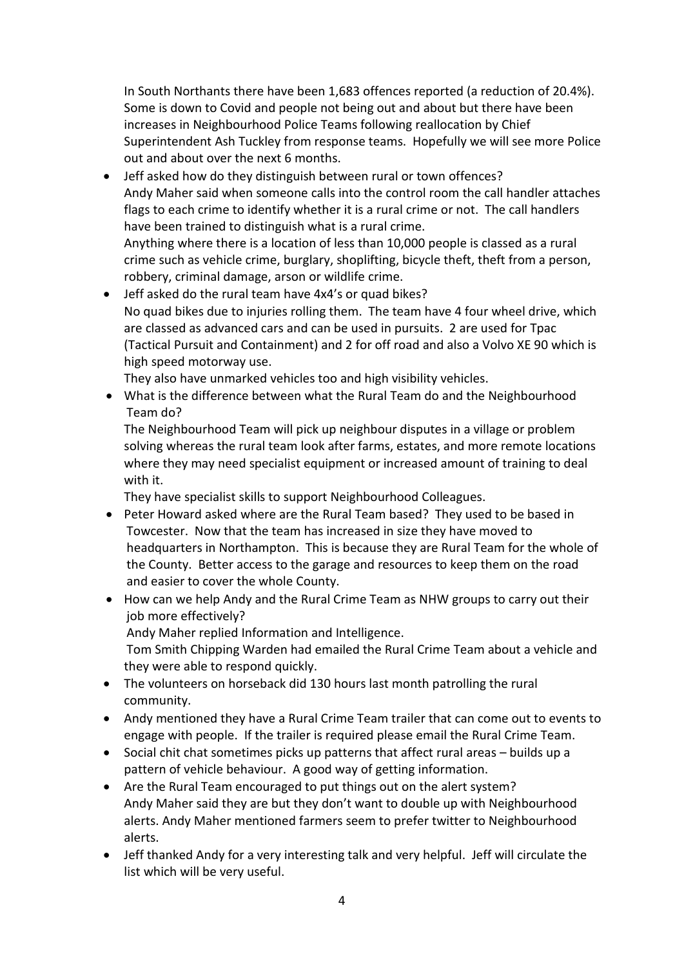In South Northants there have been 1,683 offences reported (a reduction of 20.4%). Some is down to Covid and people not being out and about but there have been increases in Neighbourhood Police Teams following reallocation by Chief Superintendent Ash Tuckley from response teams. Hopefully we will see more Police out and about over the next 6 months.

• Jeff asked how do they distinguish between rural or town offences? Andy Maher said when someone calls into the control room the call handler attaches flags to each crime to identify whether it is a rural crime or not. The call handlers have been trained to distinguish what is a rural crime. Anything where there is a location of less than 10,000 people is classed as a rural crime such as vehicle crime, burglary, shoplifting, bicycle theft, theft from a person,

robbery, criminal damage, arson or wildlife crime.

• Jeff asked do the rural team have 4x4's or quad bikes? No quad bikes due to injuries rolling them. The team have 4 four wheel drive, which are classed as advanced cars and can be used in pursuits. 2 are used for Tpac (Tactical Pursuit and Containment) and 2 for off road and also a Volvo XE 90 which is high speed motorway use.

They also have unmarked vehicles too and high visibility vehicles.

• What is the difference between what the Rural Team do and the Neighbourhood Team do?

The Neighbourhood Team will pick up neighbour disputes in a village or problem solving whereas the rural team look after farms, estates, and more remote locations where they may need specialist equipment or increased amount of training to deal with it.

They have specialist skills to support Neighbourhood Colleagues.

- Peter Howard asked where are the Rural Team based? They used to be based in Towcester. Now that the team has increased in size they have moved to headquarters in Northampton. This is because they are Rural Team for the whole of the County. Better access to the garage and resources to keep them on the road and easier to cover the whole County.
- How can we help Andy and the Rural Crime Team as NHW groups to carry out their job more effectively?

Andy Maher replied Information and Intelligence.

Tom Smith Chipping Warden had emailed the Rural Crime Team about a vehicle and they were able to respond quickly.

- The volunteers on horseback did 130 hours last month patrolling the rural community.
- Andy mentioned they have a Rural Crime Team trailer that can come out to events to engage with people. If the trailer is required please email the Rural Crime Team.
- Social chit chat sometimes picks up patterns that affect rural areas builds up a pattern of vehicle behaviour. A good way of getting information.
- Are the Rural Team encouraged to put things out on the alert system? Andy Maher said they are but they don't want to double up with Neighbourhood alerts. Andy Maher mentioned farmers seem to prefer twitter to Neighbourhood alerts.
- Jeff thanked Andy for a very interesting talk and very helpful. Jeff will circulate the list which will be very useful.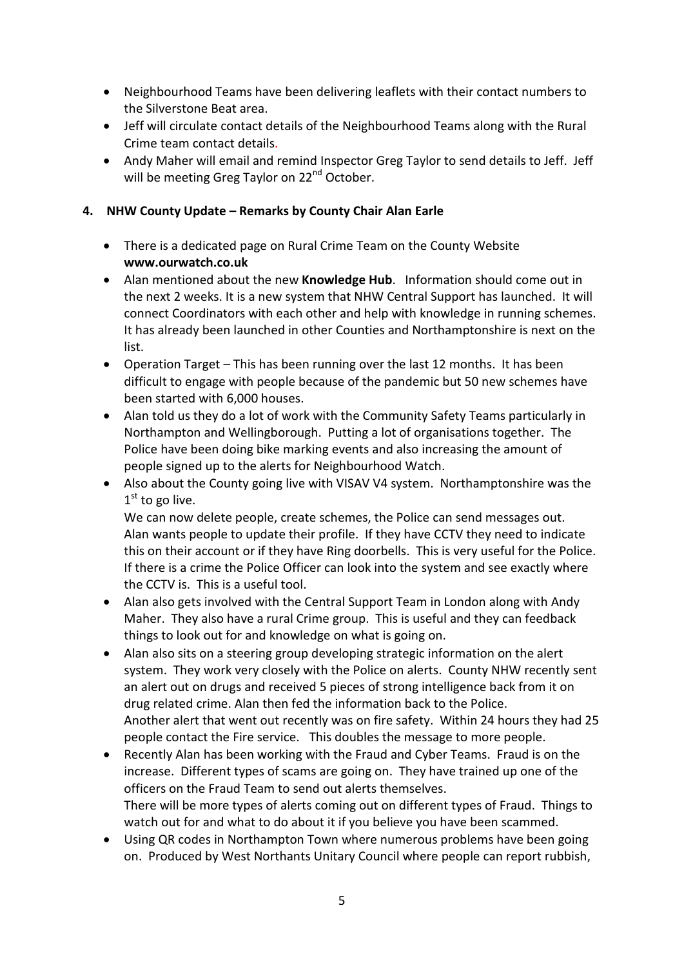- Neighbourhood Teams have been delivering leaflets with their contact numbers to the Silverstone Beat area.
- Jeff will circulate contact details of the Neighbourhood Teams along with the Rural Crime team contact details.
- Andy Maher will email and remind Inspector Greg Taylor to send details to Jeff. Jeff will be meeting Greg Taylor on 22<sup>nd</sup> October.

## **4. NHW County Update – Remarks by County Chair Alan Earle**

- There is a dedicated page on Rural Crime Team on the County Website **www.ourwatch.co.uk**
- Alan mentioned about the new **Knowledge Hub**. Information should come out in the next 2 weeks. It is a new system that NHW Central Support has launched. It will connect Coordinators with each other and help with knowledge in running schemes. It has already been launched in other Counties and Northamptonshire is next on the list.
- Operation Target This has been running over the last 12 months. It has been difficult to engage with people because of the pandemic but 50 new schemes have been started with 6,000 houses.
- Alan told us they do a lot of work with the Community Safety Teams particularly in Northampton and Wellingborough. Putting a lot of organisations together. The Police have been doing bike marking events and also increasing the amount of people signed up to the alerts for Neighbourhood Watch.
- Also about the County going live with VISAV V4 system. Northamptonshire was the  $1<sup>st</sup>$  to go live.

We can now delete people, create schemes, the Police can send messages out. Alan wants people to update their profile. If they have CCTV they need to indicate this on their account or if they have Ring doorbells. This is very useful for the Police. If there is a crime the Police Officer can look into the system and see exactly where the CCTV is. This is a useful tool.

- Alan also gets involved with the Central Support Team in London along with Andy Maher. They also have a rural Crime group. This is useful and they can feedback things to look out for and knowledge on what is going on.
- Alan also sits on a steering group developing strategic information on the alert system. They work very closely with the Police on alerts. County NHW recently sent an alert out on drugs and received 5 pieces of strong intelligence back from it on drug related crime. Alan then fed the information back to the Police. Another alert that went out recently was on fire safety. Within 24 hours they had 25 people contact the Fire service. This doubles the message to more people.
- Recently Alan has been working with the Fraud and Cyber Teams. Fraud is on the increase. Different types of scams are going on. They have trained up one of the officers on the Fraud Team to send out alerts themselves. There will be more types of alerts coming out on different types of Fraud. Things to watch out for and what to do about it if you believe you have been scammed.
- Using QR codes in Northampton Town where numerous problems have been going on. Produced by West Northants Unitary Council where people can report rubbish,